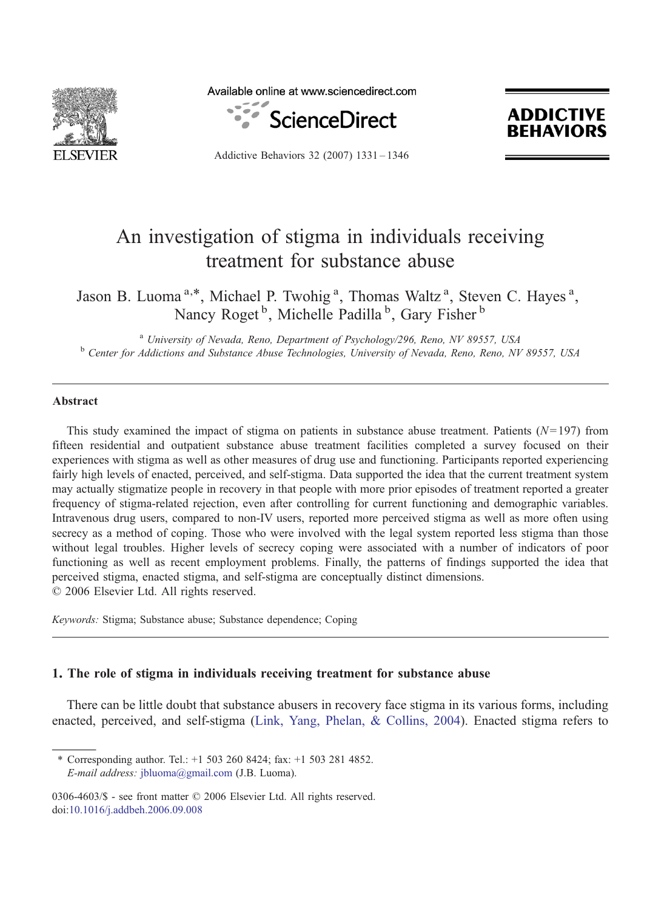

Available online at www.sciencedirect.com



**ADDICTIVE** 

**REHAVIOI** 

Addictive Behaviors 32 (2007) 1331–1346

# An investigation of stigma in individuals receiving treatment for substance abuse

Jason B. Luoma<sup>a,\*</sup>, Michael P. Twohig<sup>a</sup>, Thomas Waltz<sup>a</sup>, Steven C. Hayes<sup>a</sup>, Nancy Roget<sup>b</sup>, Michelle Padilla<sup>b</sup>, Gary Fisher<sup>b</sup>

<sup>a</sup> University of Nevada, Reno, Department of Psychology/296, Reno, NV 89557, USA<br><sup>b</sup> Center for Addictions and Substance Abuse Technologies, University of Nevada, Reno, Reno, NV 89557, USA

#### Abstract

This study examined the impact of stigma on patients in substance abuse treatment. Patients  $(N=197)$  from fifteen residential and outpatient substance abuse treatment facilities completed a survey focused on their experiences with stigma as well as other measures of drug use and functioning. Participants reported experiencing fairly high levels of enacted, perceived, and self-stigma. Data supported the idea that the current treatment system may actually stigmatize people in recovery in that people with more prior episodes of treatment reported a greater frequency of stigma-related rejection, even after controlling for current functioning and demographic variables. Intravenous drug users, compared to non-IV users, reported more perceived stigma as well as more often using secrecy as a method of coping. Those who were involved with the legal system reported less stigma than those without legal troubles. Higher levels of secrecy coping were associated with a number of indicators of poor functioning as well as recent employment problems. Finally, the patterns of findings supported the idea that perceived stigma, enacted stigma, and self-stigma are conceptually distinct dimensions. © 2006 Elsevier Ltd. All rights reserved.

Keywords: Stigma; Substance abuse; Substance dependence; Coping

# 1. The role of stigma in individuals receiving treatment for substance abuse

There can be little doubt that substance abusers in recovery face stigma in its various forms, including enacted, perceived, and self-stigma [\(Link, Yang, Phelan, & Collins, 2004\)](#page-14-0). Enacted stigma refers to

<sup>⁎</sup> Corresponding author. Tel.: +1 503 260 8424; fax: +1 503 281 4852. E-mail address: [jbluoma@gmail.com](mailto:jbluoma@gmail.com) (J.B. Luoma).

<sup>0306-4603/\$ -</sup> see front matter © 2006 Elsevier Ltd. All rights reserved. doi[:10.1016/j.addbeh.2006.09.008](http://dx.doi.org/10.1016/j.addbeh.2006.09.008)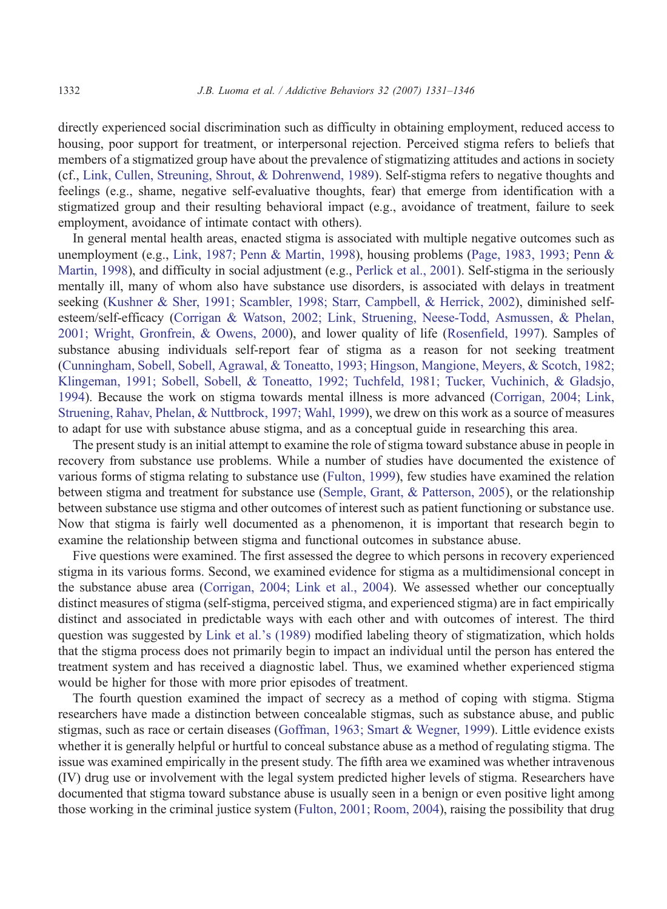directly experienced social discrimination such as difficulty in obtaining employment, reduced access to housing, poor support for treatment, or interpersonal rejection. Perceived stigma refers to beliefs that members of a stigmatized group have about the prevalence of stigmatizing attitudes and actions in society (cf., [Link, Cullen, Streuning, Shrout, & Dohrenwend, 1989\)](#page-14-0). Self-stigma refers to negative thoughts and feelings (e.g., shame, negative self-evaluative thoughts, fear) that emerge from identification with a stigmatized group and their resulting behavioral impact (e.g., avoidance of treatment, failure to seek employment, avoidance of intimate contact with others).

In general mental health areas, enacted stigma is associated with multiple negative outcomes such as unemployment (e.g., [Link, 1987; Penn & Martin, 1998](#page-14-0)), housing problems ([Page, 1983, 1993; Penn &](#page-14-0) [Martin, 1998](#page-14-0)), and difficulty in social adjustment (e.g., [Perlick et al., 2001](#page-15-0)). Self-stigma in the seriously mentally ill, many of whom also have substance use disorders, is associated with delays in treatment seeking ([Kushner & Sher, 1991; Scambler, 1998; Starr, Campbell, & Herrick, 2002\)](#page-14-0), diminished selfesteem/self-efficacy [\(Corrigan & Watson, 2002; Link, Struening, Neese-Todd, Asmussen, & Phelan,](#page-14-0) [2001; Wright, Gronfrein, & Owens, 2000\)](#page-14-0), and lower quality of life [\(Rosenfield, 1997](#page-15-0)). Samples of substance abusing individuals self-report fear of stigma as a reason for not seeking treatment ([Cunningham, Sobell, Sobell, Agrawal, & Toneatto, 1993; Hingson, Mangione, Meyers, & Scotch, 1982;](#page-14-0) [Klingeman, 1991; Sobell, Sobell, & Toneatto, 1992; Tuchfeld, 1981; Tucker, Vuchinich, & Gladsjo,](#page-14-0) [1994](#page-14-0)). Because the work on stigma towards mental illness is more advanced ([Corrigan, 2004; Link,](#page-14-0) [Struening, Rahav, Phelan, & Nuttbrock, 1997; Wahl, 1999\)](#page-14-0), we drew on this work as a source of measures to adapt for use with substance abuse stigma, and as a conceptual guide in researching this area.

The present study is an initial attempt to examine the role of stigma toward substance abuse in people in recovery from substance use problems. While a number of studies have documented the existence of various forms of stigma relating to substance use [\(Fulton, 1999\)](#page-14-0), few studies have examined the relation between stigma and treatment for substance use ([Semple, Grant, & Patterson, 2005\)](#page-15-0), or the relationship between substance use stigma and other outcomes of interest such as patient functioning or substance use. Now that stigma is fairly well documented as a phenomenon, it is important that research begin to examine the relationship between stigma and functional outcomes in substance abuse.

Five questions were examined. The first assessed the degree to which persons in recovery experienced stigma in its various forms. Second, we examined evidence for stigma as a multidimensional concept in the substance abuse area ([Corrigan, 2004; Link et al., 2004\)](#page-14-0). We assessed whether our conceptually distinct measures of stigma (self-stigma, perceived stigma, and experienced stigma) are in fact empirically distinct and associated in predictable ways with each other and with outcomes of interest. The third question was suggested by [Link et al.'s \(1989\)](#page-14-0) modified labeling theory of stigmatization, which holds that the stigma process does not primarily begin to impact an individual until the person has entered the treatment system and has received a diagnostic label. Thus, we examined whether experienced stigma would be higher for those with more prior episodes of treatment.

The fourth question examined the impact of secrecy as a method of coping with stigma. Stigma researchers have made a distinction between concealable stigmas, such as substance abuse, and public stigmas, such as race or certain diseases ([Goffman, 1963; Smart & Wegner, 1999](#page-14-0)). Little evidence exists whether it is generally helpful or hurtful to conceal substance abuse as a method of regulating stigma. The issue was examined empirically in the present study. The fifth area we examined was whether intravenous (IV) drug use or involvement with the legal system predicted higher levels of stigma. Researchers have documented that stigma toward substance abuse is usually seen in a benign or even positive light among those working in the criminal justice system ([Fulton, 2001; Room, 2004\)](#page-14-0), raising the possibility that drug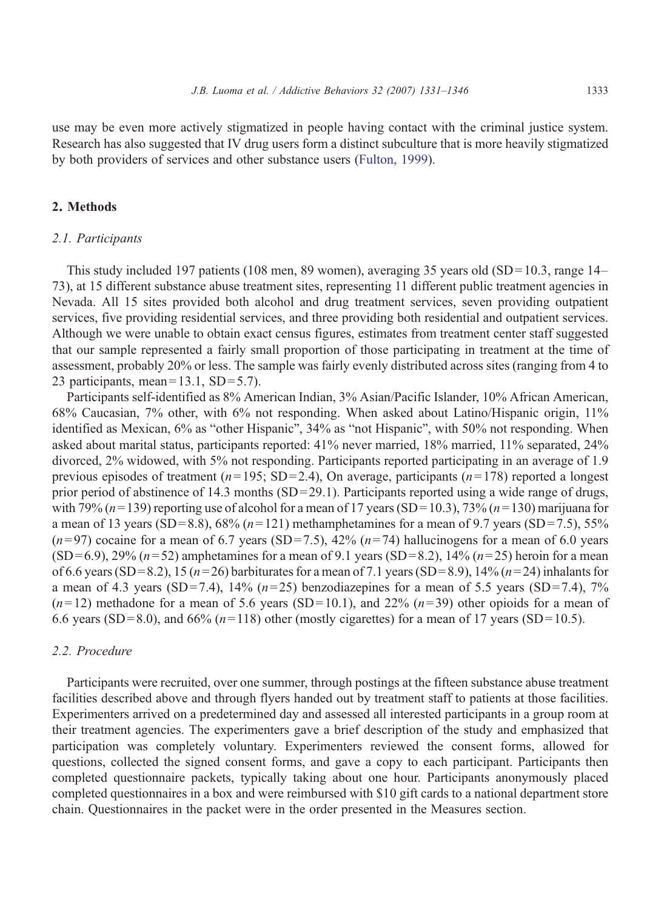use may be even more actively stigmatized in people having contact with the criminal justice system. Research has also suggested that IV drug users form a distinct subculture that is more heavily stigmatized by both providers of services and other substance users [\(Fulton, 1999](#page-14-0)).

# 2. Methods

#### 2.1. Participants

This study included 197 patients (108 men, 89 women), averaging 35 years old (SD = 10.3, range  $14-$ 73), at 15 different substance abuse treatment sites, representing 11 different public treatment agencies in Nevada. All 15 sites provided both alcohol and drug treatment services, seven providing outpatient services, five providing residential services, and three providing both residential and outpatient services. Although we were unable to obtain exact census figures, estimates from treatment center staff suggested that our sample represented a fairly small proportion of those participating in treatment at the time of assessment, probably 20% or less. The sample was fairly evenly distributed across sites (ranging from 4 to 23 participants, mean =  $13.1$ , SD =  $5.7$ ).

Participants self-identified as 8% American Indian, 3% Asian/Pacific Islander, 10% African American, 68% Caucasian, 7% other, with 6% not responding. When asked about Latino/Hispanic origin, 11% identified as Mexican, 6% as "other Hispanic", 34% as "not Hispanic", with 50% not responding. When asked about marital status, participants reported: 41% never married, 18% married, 11% separated, 24% divorced, 2% widowed, with 5% not responding. Participants reported participating in an average of 1.9 previous episodes of treatment ( $n=195$ ; SD=2.4), On average, participants ( $n=178$ ) reported a longest prior period of abstinence of 14.3 months (SD=29.1). Participants reported using a wide range of drugs, with 79%  $(n=139)$  reporting use of alcohol for a mean of 17 years (SD = 10.3), 73%  $(n=130)$  marijuana for a mean of 13 years (SD=8.8),  $68\%$  ( $n=121$ ) methamphetamines for a mean of 9.7 years (SD=7.5), 55%  $(n=97)$  cocaine for a mean of 6.7 years (SD=7.5), 42%  $(n=74)$  hallucinogens for a mean of 6.0 years  $(SD=6.9)$ , 29% ( $n=52$ ) amphetamines for a mean of 9.1 years  $(SD=8.2)$ , 14% ( $n=25$ ) heroin for a mean of 6.6 years (SD=8.2), 15 ( $n=26$ ) barbiturates for a mean of 7.1 years (SD=8.9), 14% ( $n=24$ ) inhalants for a mean of 4.3 years (SD=7.4),  $14\%$  ( $n=25$ ) benzodiazepines for a mean of 5.5 years (SD=7.4), 7%  $(n=12)$  methadone for a mean of 5.6 years (SD=10.1), and 22%  $(n=39)$  other opioids for a mean of 6.6 years (SD=8.0), and 66% ( $n=118$ ) other (mostly cigarettes) for a mean of 17 years (SD=10.5).

## 2.2. Procedure

Participants were recruited, over one summer, through postings at the fifteen substance abuse treatment facilities described above and through flyers handed out by treatment staff to patients at those facilities. Experimenters arrived on a predetermined day and assessed all interested participants in a group room at their treatment agencies. The experimenters gave a brief description of the study and emphasized that participation was completely voluntary. Experimenters reviewed the consent forms, allowed for questions, collected the signed consent forms, and gave a copy to each participant. Participants then completed questionnaire packets, typically taking about one hour. Participants anonymously placed completed questionnaires in a box and were reimbursed with \$10 gift cards to a national department store chain. Questionnaires in the packet were in the order presented in the Measures section.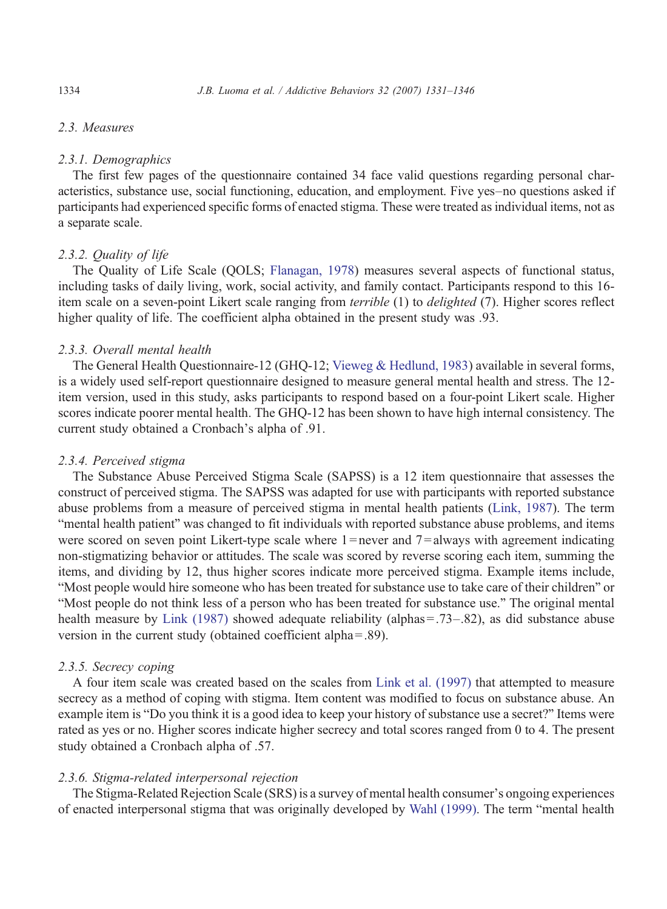# 2.3. Measures

# 2.3.1. Demographics

The first few pages of the questionnaire contained 34 face valid questions regarding personal characteristics, substance use, social functioning, education, and employment. Five yes–no questions asked if participants had experienced specific forms of enacted stigma. These were treated as individual items, not as a separate scale.

# 2.3.2. Quality of life

The Quality of Life Scale (QOLS; [Flanagan, 1978](#page-14-0)) measures several aspects of functional status, including tasks of daily living, work, social activity, and family contact. Participants respond to this 16 item scale on a seven-point Likert scale ranging from *terrible* (1) to *delighted* (7). Higher scores reflect higher quality of life. The coefficient alpha obtained in the present study was .93.

# 2.3.3. Overall mental health

The General Health Questionnaire-12 (GHQ-12; [Vieweg & Hedlund, 1983\)](#page-15-0) available in several forms, is a widely used self-report questionnaire designed to measure general mental health and stress. The 12 item version, used in this study, asks participants to respond based on a four-point Likert scale. Higher scores indicate poorer mental health. The GHQ-12 has been shown to have high internal consistency. The current study obtained a Cronbach's alpha of .91.

#### 2.3.4. Perceived stigma

The Substance Abuse Perceived Stigma Scale (SAPSS) is a 12 item questionnaire that assesses the construct of perceived stigma. The SAPSS was adapted for use with participants with reported substance abuse problems from a measure of perceived stigma in mental health patients [\(Link, 1987](#page-14-0)). The term "mental health patient" was changed to fit individuals with reported substance abuse problems, and items were scored on seven point Likert-type scale where 1 = never and 7 = always with agreement indicating non-stigmatizing behavior or attitudes. The scale was scored by reverse scoring each item, summing the items, and dividing by 12, thus higher scores indicate more perceived stigma. Example items include, "Most people would hire someone who has been treated for substance use to take care of their children" or "Most people do not think less of a person who has been treated for substance use." The original mental health measure by [Link \(1987\)](#page-14-0) showed adequate reliability (alphas=.73–.82), as did substance abuse version in the current study (obtained coefficient alpha=.89).

# 2.3.5. Secrecy coping

A four item scale was created based on the scales from [Link et al. \(1997\)](#page-14-0) that attempted to measure secrecy as a method of coping with stigma. Item content was modified to focus on substance abuse. An example item is "Do you think it is a good idea to keep your history of substance use a secret?" Items were rated as yes or no. Higher scores indicate higher secrecy and total scores ranged from 0 to 4. The present study obtained a Cronbach alpha of .57.

# 2.3.6. Stigma-related interpersonal rejection

The Stigma-Related Rejection Scale (SRS) is a survey of mental health consumer's ongoing experiences of enacted interpersonal stigma that was originally developed by [Wahl \(1999\)](#page-15-0). The term "mental health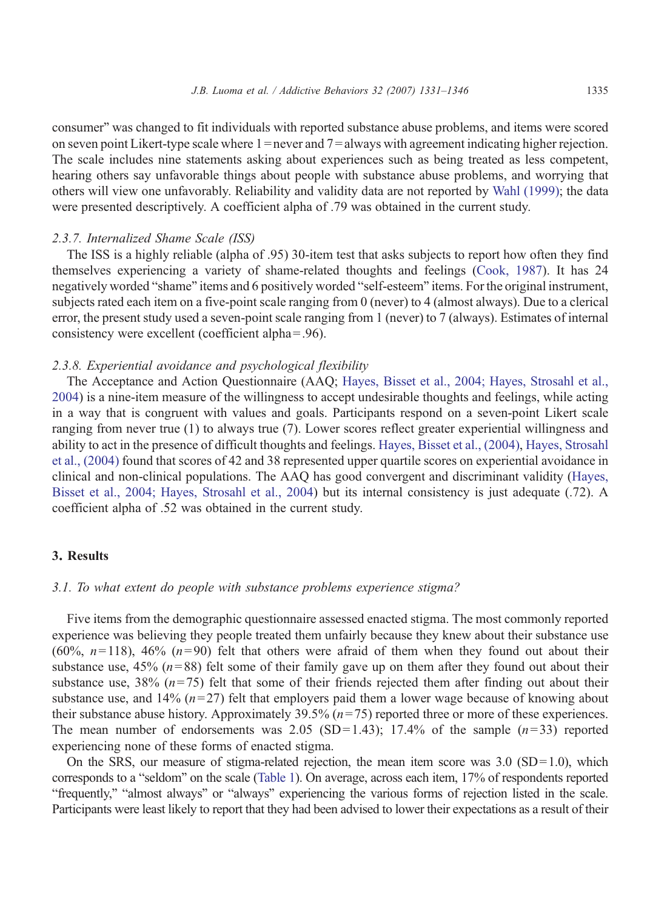consumer" was changed to fit individuals with reported substance abuse problems, and items were scored on seven point Likert-type scale where  $1 =$  never and  $7 =$  always with agreement indicating higher rejection. The scale includes nine statements asking about experiences such as being treated as less competent, hearing others say unfavorable things about people with substance abuse problems, and worrying that others will view one unfavorably. Reliability and validity data are not reported by [Wahl \(1999\);](#page-15-0) the data were presented descriptively. A coefficient alpha of .79 was obtained in the current study.

#### 2.3.7. Internalized Shame Scale (ISS)

The ISS is a highly reliable (alpha of .95) 30-item test that asks subjects to report how often they find themselves experiencing a variety of shame-related thoughts and feelings [\(Cook, 1987\)](#page-14-0). It has 24 negatively worded "shame" items and 6 positively worded "self-esteem" items. For the original instrument, subjects rated each item on a five-point scale ranging from 0 (never) to 4 (almost always). Due to a clerical error, the present study used a seven-point scale ranging from 1 (never) to 7 (always). Estimates of internal consistency were excellent (coefficient alpha = .96).

#### 2.3.8. Experiential avoidance and psychological flexibility

The Acceptance and Action Questionnaire (AAQ; [Hayes, Bisset et al., 2004; Hayes, Strosahl et al.,](#page-14-0) [2004](#page-14-0)) is a nine-item measure of the willingness to accept undesirable thoughts and feelings, while acting in a way that is congruent with values and goals. Participants respond on a seven-point Likert scale ranging from never true (1) to always true (7). Lower scores reflect greater experiential willingness and ability to act in the presence of difficult thoughts and feelings. [Hayes, Bisset et al., \(2004\)](#page-14-0), [Hayes, Strosahl](#page-14-0) [et al., \(2004\)](#page-14-0) found that scores of 42 and 38 represented upper quartile scores on experiential avoidance in clinical and non-clinical populations. The AAQ has good convergent and discriminant validity ([Hayes,](#page-14-0) [Bisset et al., 2004; Hayes, Strosahl et al., 2004\)](#page-14-0) but its internal consistency is just adequate (.72). A coefficient alpha of .52 was obtained in the current study.

# 3. Results

# 3.1. To what extent do people with substance problems experience stigma?

Five items from the demographic questionnaire assessed enacted stigma. The most commonly reported experience was believing they people treated them unfairly because they knew about their substance use (60%,  $n=118$ ), 46% ( $n=90$ ) felt that others were afraid of them when they found out about their substance use,  $45\%$  ( $n=88$ ) felt some of their family gave up on them after they found out about their substance use,  $38\%$  ( $n=75$ ) felt that some of their friends rejected them after finding out about their substance use, and 14%  $(n=27)$  felt that employers paid them a lower wage because of knowing about their substance abuse history. Approximately 39.5%  $(n=75)$  reported three or more of these experiences. The mean number of endorsements was 2.05 (SD=1.43); 17.4% of the sample  $(n=33)$  reported experiencing none of these forms of enacted stigma.

On the SRS, our measure of stigma-related rejection, the mean item score was  $3.0 \text{ (SD=1.0)}$ , which corresponds to a "seldom" on the scale [\(Table 1](#page-5-0)). On average, across each item, 17% of respondents reported "frequently," "almost always" or "always" experiencing the various forms of rejection listed in the scale. Participants were least likely to report that they had been advised to lower their expectations as a result of their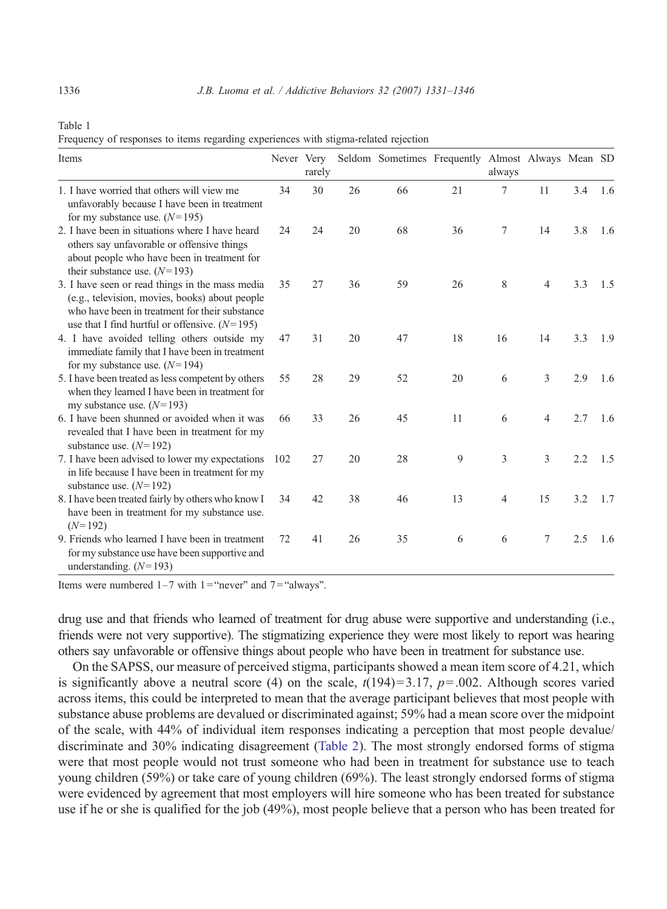<span id="page-5-0"></span>

Frequency of responses to items regarding experiences with stigma-related rejection

| Items                                                                                                                                                                                                  | Never Very | rarely |    | Seldom Sometimes Frequently Almost Always Mean SD |    | always         |                |     |      |
|--------------------------------------------------------------------------------------------------------------------------------------------------------------------------------------------------------|------------|--------|----|---------------------------------------------------|----|----------------|----------------|-----|------|
| 1. I have worried that others will view me<br>unfavorably because I have been in treatment<br>for my substance use. $(N=195)$                                                                          | 34         | 30     | 26 | 66                                                | 21 | 7              | 11             | 3.4 | -1.6 |
| 2. I have been in situations where I have heard<br>others say unfavorable or offensive things<br>about people who have been in treatment for<br>their substance use. $(N=193)$                         | 24         | 24     | 20 | 68                                                | 36 | 7              | 14             | 3.8 | 1.6  |
| 3. I have seen or read things in the mass media<br>(e.g., television, movies, books) about people<br>who have been in treatment for their substance<br>use that I find hurtful or offensive. $(N=195)$ | 35         | 27     | 36 | 59                                                | 26 | 8              | $\overline{4}$ | 3.3 | 1.5  |
| 4. I have avoided telling others outside my<br>immediate family that I have been in treatment<br>for my substance use. $(N=194)$                                                                       | 47         | 31     | 20 | 47                                                | 18 | 16             | 14             | 3.3 | 1.9  |
| 5. I have been treated as less competent by others<br>when they learned I have been in treatment for<br>my substance use. $(N=193)$                                                                    | 55         | 28     | 29 | 52                                                | 20 | 6              | $\mathfrak{Z}$ | 2.9 | 1.6  |
| 6. I have been shunned or avoided when it was<br>revealed that I have been in treatment for my<br>substance use. $(N=192)$                                                                             | 66         | 33     | 26 | 45                                                | 11 | 6              | $\overline{4}$ | 2.7 | 1.6  |
| 7. I have been advised to lower my expectations 102<br>in life because I have been in treatment for my<br>substance use. $(N=192)$                                                                     |            | 27     | 20 | 28                                                | 9  | 3              | 3              | 2.2 | 1.5  |
| 8. I have been treated fairly by others who know I<br>have been in treatment for my substance use.<br>$(N=192)$                                                                                        | 34         | 42     | 38 | 46                                                | 13 | $\overline{4}$ | 15             | 3.2 | 1.7  |
| 9. Friends who learned I have been in treatment<br>for my substance use have been supportive and<br>understanding. $(N=193)$                                                                           | 72         | 41     | 26 | 35                                                | 6  | 6              | $\tau$         | 2.5 | 1.6  |

Items were numbered  $1-7$  with  $1 =$ "never" and  $7 =$ "always".

drug use and that friends who learned of treatment for drug abuse were supportive and understanding (i.e., friends were not very supportive). The stigmatizing experience they were most likely to report was hearing others say unfavorable or offensive things about people who have been in treatment for substance use.

On the SAPSS, our measure of perceived stigma, participants showed a mean item score of 4.21, which is significantly above a neutral score (4) on the scale,  $t(194)=3.17$ ,  $p=.002$ . Although scores varied across items, this could be interpreted to mean that the average participant believes that most people with substance abuse problems are devalued or discriminated against; 59% had a mean score over the midpoint of the scale, with 44% of individual item responses indicating a perception that most people devalue/ discriminate and 30% indicating disagreement ([Table 2](#page-6-0)). The most strongly endorsed forms of stigma were that most people would not trust someone who had been in treatment for substance use to teach young children (59%) or take care of young children (69%). The least strongly endorsed forms of stigma were evidenced by agreement that most employers will hire someone who has been treated for substance use if he or she is qualified for the job (49%), most people believe that a person who has been treated for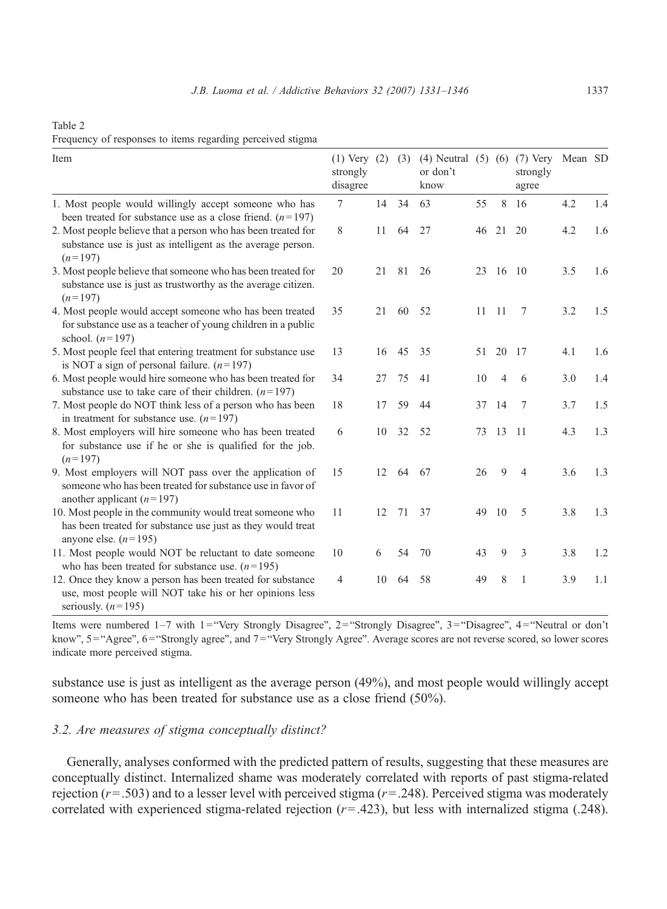<span id="page-6-0"></span>

| I | × |  |
|---|---|--|
|   |   |  |

Frequency of responses to items regarding perceived stigma

| Item                                                                                                                                                                                                     | $(1)$ Very $(2)$<br>strongly<br>disagree |    | (3) | $(4)$ Neutral $(5)$ $(6)$ $(7)$ Very<br>or don't<br>know |    |       | strongly<br>agree | Mean SD |     |
|----------------------------------------------------------------------------------------------------------------------------------------------------------------------------------------------------------|------------------------------------------|----|-----|----------------------------------------------------------|----|-------|-------------------|---------|-----|
| 1. Most people would willingly accept someone who has                                                                                                                                                    | 7                                        | 14 | 34  | 63                                                       | 55 | 8     | 16                | 4.2     | 1.4 |
| been treated for substance use as a close friend. $(n=197)$<br>2. Most people believe that a person who has been treated for<br>substance use is just as intelligent as the average person.<br>$(n=197)$ | 8                                        | 11 | 64  | 27                                                       | 46 | 21 20 |                   | 4.2     | 1.6 |
| 3. Most people believe that someone who has been treated for<br>substance use is just as trustworthy as the average citizen.<br>$(n=197)$                                                                | 20                                       | 21 | 81  | 26                                                       | 23 | 16    | -10               | 3.5     | 1.6 |
| 4. Most people would accept someone who has been treated<br>for substance use as a teacher of young children in a public<br>school. $(n=197)$                                                            | 35                                       | 21 | 60  | 52                                                       | 11 | -11   | 7                 | 3.2     | 1.5 |
| 5. Most people feel that entering treatment for substance use<br>is NOT a sign of personal failure. $(n=197)$                                                                                            | 13                                       | 16 | 45  | 35                                                       | 51 | 20    | 17                | 4.1     | 1.6 |
| 6. Most people would hire someone who has been treated for<br>substance use to take care of their children. $(n=197)$                                                                                    | 34                                       | 27 | 75  | 41                                                       | 10 | 4     | 6                 | 3.0     | 1.4 |
| 7. Most people do NOT think less of a person who has been<br>in treatment for substance use. $(n=197)$                                                                                                   | 18                                       | 17 | 59  | 44                                                       | 37 | -14   | 7                 | 3.7     | 1.5 |
| 8. Most employers will hire someone who has been treated<br>for substance use if he or she is qualified for the job.<br>$(n=197)$                                                                        | 6                                        | 10 | 32  | 52                                                       | 73 | 13    | 11                | 4.3     | 1.3 |
| 9. Most employers will NOT pass over the application of<br>someone who has been treated for substance use in favor of<br>another applicant $(n=197)$                                                     | 15                                       | 12 | 64  | 67                                                       | 26 | 9     | $\overline{4}$    | 3.6     | 1.3 |
| 10. Most people in the community would treat someone who<br>has been treated for substance use just as they would treat<br>anyone else. $(n=195)$                                                        | 11                                       | 12 | 71  | 37                                                       | 49 | 10    | 5                 | 3.8     | 1.3 |
| 11. Most people would NOT be reluctant to date someone<br>who has been treated for substance use. $(n=195)$                                                                                              | 10                                       | 6  | 54  | 70                                                       | 43 | 9     | 3                 | 3.8     | 1.2 |
| 12. Once they know a person has been treated for substance<br>use, most people will NOT take his or her opinions less<br>seriously. $(n=195)$                                                            | $\overline{4}$                           | 10 | 64  | 58                                                       | 49 | 8     | 1                 | 3.9     | 1.1 |

Items were numbered 1–7 with 1 = "Very Strongly Disagree", 2 = "Strongly Disagree", 3 = "Disagree", 4 = "Neutral or don't know",  $5 =$ "Agree",  $6 =$ "Strongly agree", and  $7 =$ "Very Strongly Agree". Average scores are not reverse scored, so lower scores indicate more perceived stigma.

substance use is just as intelligent as the average person (49%), and most people would willingly accept someone who has been treated for substance use as a close friend (50%).

## 3.2. Are measures of stigma conceptually distinct?

Generally, analyses conformed with the predicted pattern of results, suggesting that these measures are conceptually distinct. Internalized shame was moderately correlated with reports of past stigma-related rejection ( $r = .503$ ) and to a lesser level with perceived stigma ( $r = .248$ ). Perceived stigma was moderately correlated with experienced stigma-related rejection  $(r=.423)$ , but less with internalized stigma (.248).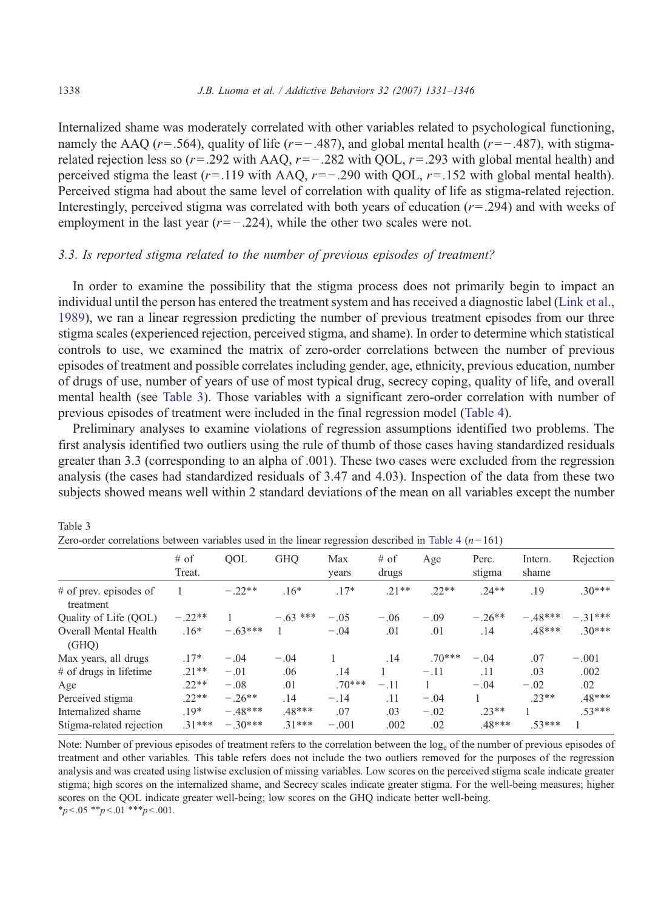Internalized shame was moderately correlated with other variables related to psychological functioning, namely the AAQ ( $r=0.564$ ), quality of life ( $r=-0.487$ ), and global mental health ( $r=-0.487$ ), with stigmarelated rejection less so ( $r=0.292$  with AAQ,  $r=-0.282$  with QOL,  $r=0.293$  with global mental health) and perceived stigma the least ( $r=.119$  with AAQ,  $r=-.290$  with QOL,  $r=.152$  with global mental health). Perceived stigma had about the same level of correlation with quality of life as stigma-related rejection. Interestingly, perceived stigma was correlated with both years of education  $(r=.294)$  and with weeks of employment in the last year  $(r=-.224)$ , while the other two scales were not.

# 3.3. Is reported stigma related to the number of previous episodes of treatment?

In order to examine the possibility that the stigma process does not primarily begin to impact an individual until the person has entered the treatment system and has received a diagnostic label [\(Link et al.,](#page-14-0) [1989](#page-14-0)), we ran a linear regression predicting the number of previous treatment episodes from our three stigma scales (experienced rejection, perceived stigma, and shame). In order to determine which statistical controls to use, we examined the matrix of zero-order correlations between the number of previous episodes of treatment and possible correlates including gender, age, ethnicity, previous education, number of drugs of use, number of years of use of most typical drug, secrecy coping, quality of life, and overall mental health (see Table 3). Those variables with a significant zero-order correlation with number of previous episodes of treatment were included in the final regression model [\(Table 4\)](#page-8-0).

Preliminary analyses to examine violations of regression assumptions identified two problems. The first analysis identified two outliers using the rule of thumb of those cases having standardized residuals greater than 3.3 (corresponding to an alpha of .001). These two cases were excluded from the regression analysis (the cases had standardized residuals of 3.47 and 4.03). Inspection of the data from these two subjects showed means well within 2 standard deviations of the mean on all variables except the number

|                                       |                  |           | $\alpha$ occurrent variables about in the initial regression described in Table $\alpha$ |              |                 |          | 1011            |                  |           |
|---------------------------------------|------------------|-----------|------------------------------------------------------------------------------------------|--------------|-----------------|----------|-----------------|------------------|-----------|
|                                       | $#$ of<br>Treat. | OOL       | <b>GHQ</b>                                                                               | Max<br>years | $#$ of<br>drugs | Age      | Perc.<br>stigma | Intern.<br>shame | Rejection |
| $#$ of prev. episodes of<br>treatment |                  | $-.22**$  | $.16*$                                                                                   | $.17*$       | $.21**$         | $.22**$  | $24**$          | .19              | $30***$   |
| Quality of Life (QOL)                 | $-.22**$         |           | $-.63$ ***                                                                               | $-.05$       | $-.06$          | $-.09$   | $-.26**$        | $-.48***$        | $-.31***$ |
| Overall Mental Health<br>(GHO)        | $.16*$           | $-.63***$ |                                                                                          | $-.04$       | .01             | .01      | .14             | $.48***$         | $30***$   |
| Max years, all drugs                  | $.17*$           | $-.04$    | $-.04$                                                                                   |              | .14             | $.70***$ | $-.04$          | .07              | $-.001$   |
| $#$ of drugs in lifetime              | $.21**$          | $-.01$    | .06                                                                                      | .14          |                 | $-.11$   | .11             | .03              | .002      |
| Age                                   | $22**$           | $-.08$    | .01                                                                                      | $.70***$     | $-.11$          |          | $-.04$          | $-.02$           | .02       |
| Perceived stigma                      | $.22**$          | $-.26**$  | .14                                                                                      | $-.14$       | .11             | $-.04$   |                 | $.23**$          | $.48***$  |
| Internalized shame                    | $.19*$           | $-.48***$ | $.48***$                                                                                 | .07          | .03             | $-.02$   | $.23**$         |                  | 53***     |
| Stigma-related rejection              | $31***$          | $-.30***$ | $31***$                                                                                  | $-.001$      | .002            | .02      | $.48***$        | $.53***$         |           |

Zero-order correlations between variables used in the linear regression described in [Table 4](#page-8-0) ( $n=161$ )

Note: Number of previous episodes of treatment refers to the correlation between the log<sub>e</sub> of the number of previous episodes of treatment and other variables. This table refers does not include the two outliers removed for the purposes of the regression analysis and was created using listwise exclusion of missing variables. Low scores on the perceived stigma scale indicate greater stigma; high scores on the internalized shame, and Secrecy scales indicate greater stigma. For the well-being measures; higher scores on the QOL indicate greater well-being; low scores on the GHQ indicate better well-being.  $*_{p}<.05$   $*_{p}<.01$   $*_{p}<.001$ .

Table 3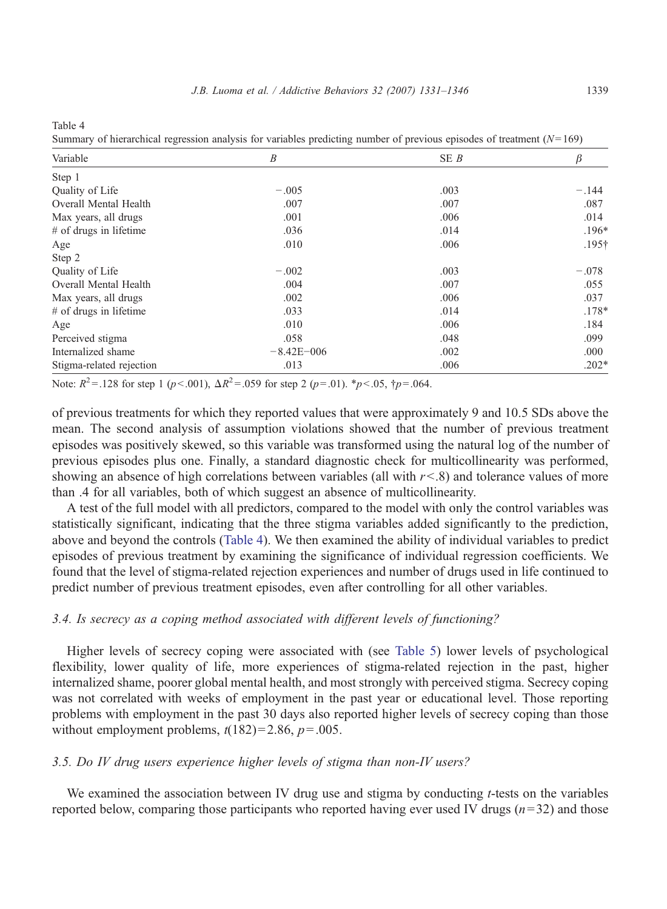<span id="page-8-0"></span>

| × | × |  |
|---|---|--|
|---|---|--|

Summary of hierarchical regression analysis for variables predicting number of previous episodes of treatment  $(N=169)$ 

| Variable                 | B              | SE B | β             |
|--------------------------|----------------|------|---------------|
| Step 1                   |                |      |               |
| Quality of Life          | $-.005$        | .003 | $-.144$       |
| Overall Mental Health    | .007           | .007 | .087          |
| Max years, all drugs     | .001           | .006 | .014          |
| $#$ of drugs in lifetime | .036           | .014 | $.196*$       |
| Age                      | .010           | .006 | $.195\dagger$ |
| Step 2                   |                |      |               |
| Quality of Life          | $-.002$        | .003 | $-.078$       |
| Overall Mental Health    | .004           | .007 | .055          |
| Max years, all drugs     | .002           | .006 | .037          |
| # of drugs in lifetime   | .033           | .014 | $.178*$       |
| Age                      | .010           | .006 | .184          |
| Perceived stigma         | .058           | .048 | .099          |
| Internalized shame       | $-8.42E - 006$ | .002 | .000          |
| Stigma-related rejection | .013           | .006 | $.202*$       |

Note:  $R^2$  = .128 for step 1 (p < .001),  $\Delta R^2$  = .059 for step 2 (p = .01). \*p < .05, †p = .064.

of previous treatments for which they reported values that were approximately 9 and 10.5 SDs above the mean. The second analysis of assumption violations showed that the number of previous treatment episodes was positively skewed, so this variable was transformed using the natural log of the number of previous episodes plus one. Finally, a standard diagnostic check for multicollinearity was performed, showing an absence of high correlations between variables (all with  $r < 8$ ) and tolerance values of more than .4 for all variables, both of which suggest an absence of multicollinearity.

A test of the full model with all predictors, compared to the model with only the control variables was statistically significant, indicating that the three stigma variables added significantly to the prediction, above and beyond the controls (Table 4). We then examined the ability of individual variables to predict episodes of previous treatment by examining the significance of individual regression coefficients. We found that the level of stigma-related rejection experiences and number of drugs used in life continued to predict number of previous treatment episodes, even after controlling for all other variables.

## 3.4. Is secrecy as a coping method associated with different levels of functioning?

Higher levels of secrecy coping were associated with (see [Table 5](#page-9-0)) lower levels of psychological flexibility, lower quality of life, more experiences of stigma-related rejection in the past, higher internalized shame, poorer global mental health, and most strongly with perceived stigma. Secrecy coping was not correlated with weeks of employment in the past year or educational level. Those reporting problems with employment in the past 30 days also reported higher levels of secrecy coping than those without employment problems,  $t(182)=2.86$ ,  $p=.005$ .

#### 3.5. Do IV drug users experience higher levels of stigma than non-IV users?

We examined the association between IV drug use and stigma by conducting  $t$ -tests on the variables reported below, comparing those participants who reported having ever used IV drugs  $(n=32)$  and those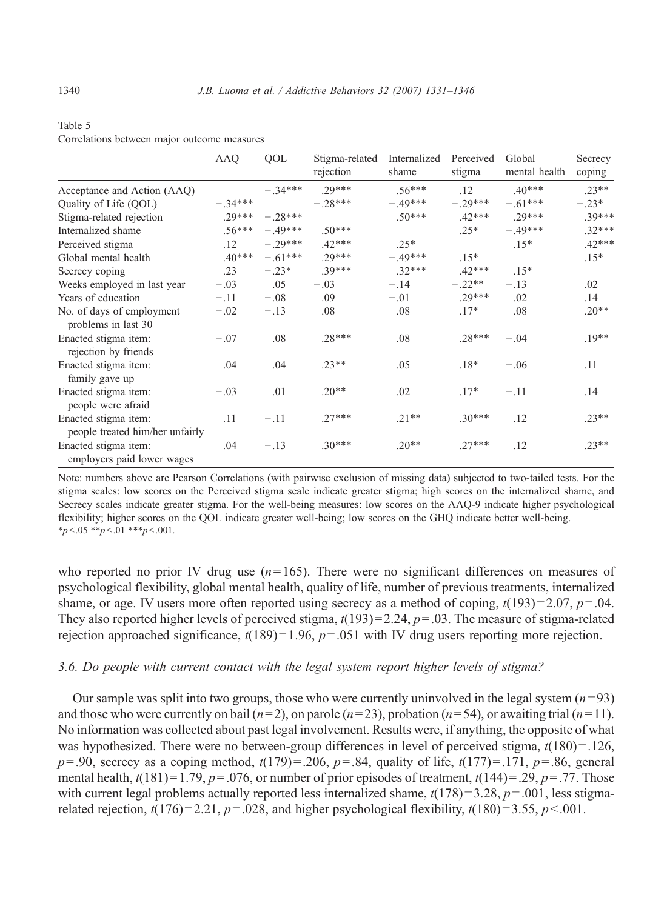|                                                         | AAQ       | QOL       | Stigma-related<br>rejection | Internalized<br>shame | Perceived<br>stigma | Global<br>mental health | Secrecy<br>coping |
|---------------------------------------------------------|-----------|-----------|-----------------------------|-----------------------|---------------------|-------------------------|-------------------|
| Acceptance and Action (AAQ)                             |           | $-.34***$ | $.29***$                    | $.56***$              | .12                 | $.40***$                | $.23**$           |
| Quality of Life (QOL)                                   | $-.34***$ |           | $-.28***$                   | $-.49***$             | $-.29***$           | $-.61***$               | $-.23*$           |
| Stigma-related rejection                                | $.29***$  | $-.28***$ |                             | $.50***$              | $.42***$            | $.29***$                | $.39***$          |
| Internalized shame                                      | $.56***$  | $-.49***$ | $.50***$                    |                       | $.25*$              | $-.49***$               | $.32***$          |
| Perceived stigma                                        | .12       | $-.29***$ | $.42***$                    | $.25*$                |                     | $.15*$                  | $.42***$          |
| Global mental health                                    | $.40***$  | $-.61***$ | $.29***$                    | $-.49***$             | $.15*$              |                         | $.15*$            |
| Secrecy coping                                          | .23       | $-.23*$   | $.39***$                    | $.32***$              | $.42***$            | $.15*$                  |                   |
| Weeks employed in last year                             | $-.03$    | .05       | $-.03$                      | $-.14$                | $-.22**$            | $-.13$                  | .02               |
| Years of education                                      | $-.11$    | $-.08$    | .09                         | $-.01$                | $.29***$            | .02                     | .14               |
| No. of days of employment<br>problems in last 30        | $-.02$    | $-.13$    | .08                         | .08                   | $.17*$              | .08                     | $.20**$           |
| Enacted stigma item:<br>rejection by friends            | $-.07$    | .08       | $.28***$                    | .08                   | $.28***$            | $-.04$                  | $.19**$           |
| Enacted stigma item:<br>family gave up                  | .04       | .04       | $.23**$                     | .05                   | $.18*$              | $-.06$                  | .11               |
| Enacted stigma item:<br>people were afraid              | $-.03$    | .01       | $.20**$                     | .02                   | $.17*$              | $-.11$                  | .14               |
| Enacted stigma item:<br>people treated him/her unfairly | .11       | $-.11$    | $.27***$                    | $.21**$               | $.30***$            | .12                     | $.23**$           |
| Enacted stigma item:<br>employers paid lower wages      | .04       | $-.13$    | $.30***$                    | $.20**$               | $.27***$            | .12                     | $.23**$           |

<span id="page-9-0"></span>

| Table 5                                     |  |  |
|---------------------------------------------|--|--|
| Correlations between major outcome measures |  |  |

Note: numbers above are Pearson Correlations (with pairwise exclusion of missing data) subjected to two-tailed tests. For the stigma scales: low scores on the Perceived stigma scale indicate greater stigma; high scores on the internalized shame, and Secrecy scales indicate greater stigma. For the well-being measures: low scores on the AAQ-9 indicate higher psychological flexibility; higher scores on the QOL indicate greater well-being; low scores on the GHQ indicate better well-being.  $*_p$  < .05  $*_p$  < .01  $**_p$  < .001.

who reported no prior IV drug use  $(n=165)$ . There were no significant differences on measures of psychological flexibility, global mental health, quality of life, number of previous treatments, internalized shame, or age. IV users more often reported using secrecy as a method of coping,  $t(193)=2.07$ ,  $p=.04$ . They also reported higher levels of perceived stigma,  $t(193) = 2.24$ ,  $p = .03$ . The measure of stigma-related rejection approached significance,  $t(189)=1.96$ ,  $p=.051$  with IV drug users reporting more rejection.

#### 3.6. Do people with current contact with the legal system report higher levels of stigma?

Our sample was split into two groups, those who were currently uninvolved in the legal system  $(n=93)$ and those who were currently on bail  $(n=2)$ , on parole  $(n=23)$ , probation  $(n=54)$ , or awaiting trial  $(n=11)$ . No information was collected about past legal involvement. Results were, if anything, the opposite of what was hypothesized. There were no between-group differences in level of perceived stigma,  $t(180) = .126$ ,  $p = .90$ , secrecy as a coping method,  $t(179) = .206$ ,  $p = .84$ , quality of life,  $t(177) = .171$ ,  $p = .86$ , general mental health,  $t(181) = 1.79$ ,  $p = .076$ , or number of prior episodes of treatment,  $t(144) = .29$ ,  $p = .77$ . Those with current legal problems actually reported less internalized shame,  $t(178)=3.28$ ,  $p=.001$ , less stigmarelated rejection,  $t(176) = 2.21$ ,  $p = .028$ , and higher psychological flexibility,  $t(180) = 3.55$ ,  $p < .001$ .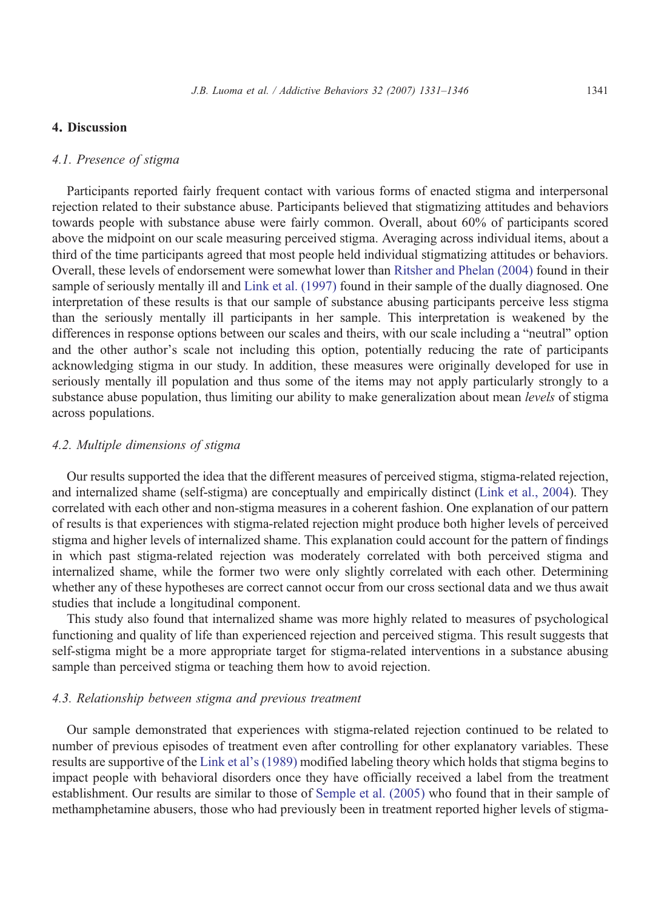#### 4. Discussion

#### 4.1. Presence of stigma

Participants reported fairly frequent contact with various forms of enacted stigma and interpersonal rejection related to their substance abuse. Participants believed that stigmatizing attitudes and behaviors towards people with substance abuse were fairly common. Overall, about 60% of participants scored above the midpoint on our scale measuring perceived stigma. Averaging across individual items, about a third of the time participants agreed that most people held individual stigmatizing attitudes or behaviors. Overall, these levels of endorsement were somewhat lower than [Ritsher and Phelan \(2004\)](#page-15-0) found in their sample of seriously mentally ill and [Link et al. \(1997\)](#page-14-0) found in their sample of the dually diagnosed. One interpretation of these results is that our sample of substance abusing participants perceive less stigma than the seriously mentally ill participants in her sample. This interpretation is weakened by the differences in response options between our scales and theirs, with our scale including a "neutral" option and the other author's scale not including this option, potentially reducing the rate of participants acknowledging stigma in our study. In addition, these measures were originally developed for use in seriously mentally ill population and thus some of the items may not apply particularly strongly to a substance abuse population, thus limiting our ability to make generalization about mean *levels* of stigma across populations.

#### 4.2. Multiple dimensions of stigma

Our results supported the idea that the different measures of perceived stigma, stigma-related rejection, and internalized shame (self-stigma) are conceptually and empirically distinct [\(Link et al., 2004\)](#page-14-0). They correlated with each other and non-stigma measures in a coherent fashion. One explanation of our pattern of results is that experiences with stigma-related rejection might produce both higher levels of perceived stigma and higher levels of internalized shame. This explanation could account for the pattern of findings in which past stigma-related rejection was moderately correlated with both perceived stigma and internalized shame, while the former two were only slightly correlated with each other. Determining whether any of these hypotheses are correct cannot occur from our cross sectional data and we thus await studies that include a longitudinal component.

This study also found that internalized shame was more highly related to measures of psychological functioning and quality of life than experienced rejection and perceived stigma. This result suggests that self-stigma might be a more appropriate target for stigma-related interventions in a substance abusing sample than perceived stigma or teaching them how to avoid rejection.

# 4.3. Relationship between stigma and previous treatment

Our sample demonstrated that experiences with stigma-related rejection continued to be related to number of previous episodes of treatment even after controlling for other explanatory variables. These results are supportive of the [Link et al's \(1989\)](#page-14-0) modified labeling theory which holds that stigma begins to impact people with behavioral disorders once they have officially received a label from the treatment establishment. Our results are similar to those of [Semple et al. \(2005\)](#page-15-0) who found that in their sample of methamphetamine abusers, those who had previously been in treatment reported higher levels of stigma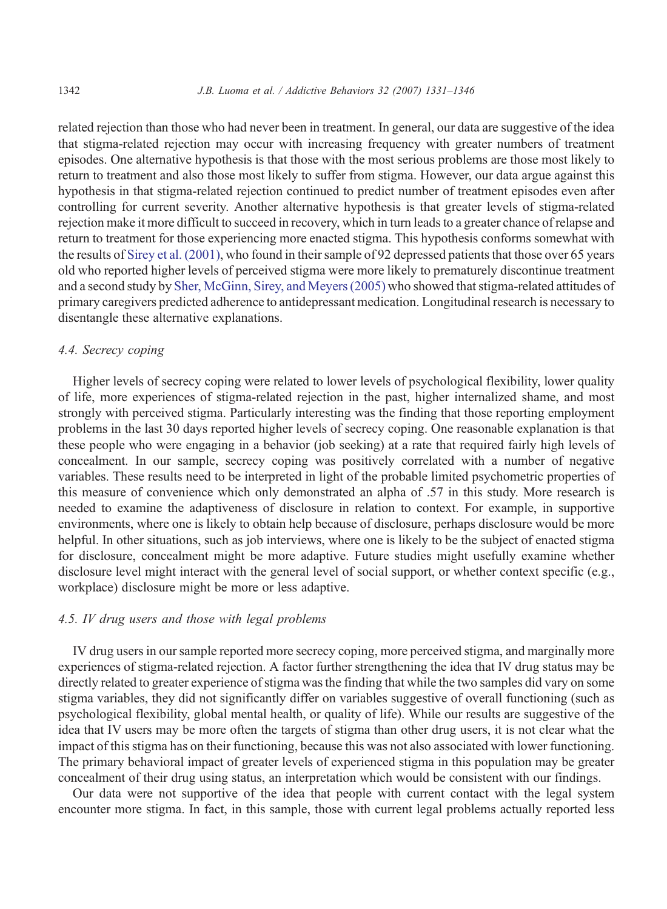related rejection than those who had never been in treatment. In general, our data are suggestive of the idea that stigma-related rejection may occur with increasing frequency with greater numbers of treatment episodes. One alternative hypothesis is that those with the most serious problems are those most likely to return to treatment and also those most likely to suffer from stigma. However, our data argue against this hypothesis in that stigma-related rejection continued to predict number of treatment episodes even after controlling for current severity. Another alternative hypothesis is that greater levels of stigma-related rejection make it more difficult to succeed in recovery, which in turn leads to a greater chance of relapse and return to treatment for those experiencing more enacted stigma. This hypothesis conforms somewhat with the results of [Sirey et al. \(2001\),](#page-15-0) who found in their sample of 92 depressed patients that those over 65 years old who reported higher levels of perceived stigma were more likely to prematurely discontinue treatment and a second study by [Sher, McGinn, Sirey, and Meyers \(2005\)](#page-15-0) who showed that stigma-related attitudes of primary caregivers predicted adherence to antidepressant medication. Longitudinal research is necessary to disentangle these alternative explanations.

## 4.4. Secrecy coping

Higher levels of secrecy coping were related to lower levels of psychological flexibility, lower quality of life, more experiences of stigma-related rejection in the past, higher internalized shame, and most strongly with perceived stigma. Particularly interesting was the finding that those reporting employment problems in the last 30 days reported higher levels of secrecy coping. One reasonable explanation is that these people who were engaging in a behavior (job seeking) at a rate that required fairly high levels of concealment. In our sample, secrecy coping was positively correlated with a number of negative variables. These results need to be interpreted in light of the probable limited psychometric properties of this measure of convenience which only demonstrated an alpha of .57 in this study. More research is needed to examine the adaptiveness of disclosure in relation to context. For example, in supportive environments, where one is likely to obtain help because of disclosure, perhaps disclosure would be more helpful. In other situations, such as job interviews, where one is likely to be the subject of enacted stigma for disclosure, concealment might be more adaptive. Future studies might usefully examine whether disclosure level might interact with the general level of social support, or whether context specific (e.g., workplace) disclosure might be more or less adaptive.

## 4.5. IV drug users and those with legal problems

IV drug users in our sample reported more secrecy coping, more perceived stigma, and marginally more experiences of stigma-related rejection. A factor further strengthening the idea that IV drug status may be directly related to greater experience of stigma was the finding that while the two samples did vary on some stigma variables, they did not significantly differ on variables suggestive of overall functioning (such as psychological flexibility, global mental health, or quality of life). While our results are suggestive of the idea that IV users may be more often the targets of stigma than other drug users, it is not clear what the impact of this stigma has on their functioning, because this was not also associated with lower functioning. The primary behavioral impact of greater levels of experienced stigma in this population may be greater concealment of their drug using status, an interpretation which would be consistent with our findings.

Our data were not supportive of the idea that people with current contact with the legal system encounter more stigma. In fact, in this sample, those with current legal problems actually reported less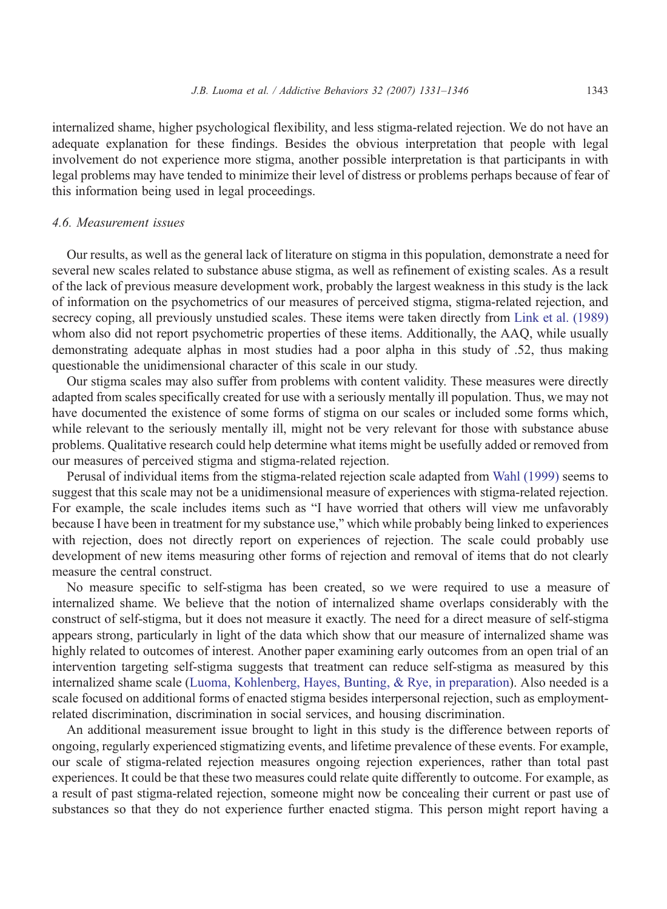internalized shame, higher psychological flexibility, and less stigma-related rejection. We do not have an adequate explanation for these findings. Besides the obvious interpretation that people with legal involvement do not experience more stigma, another possible interpretation is that participants in with legal problems may have tended to minimize their level of distress or problems perhaps because of fear of this information being used in legal proceedings.

# 4.6. Measurement issues

Our results, as well as the general lack of literature on stigma in this population, demonstrate a need for several new scales related to substance abuse stigma, as well as refinement of existing scales. As a result of the lack of previous measure development work, probably the largest weakness in this study is the lack of information on the psychometrics of our measures of perceived stigma, stigma-related rejection, and secrecy coping, all previously unstudied scales. These items were taken directly from [Link et al. \(1989\)](#page-14-0) whom also did not report psychometric properties of these items. Additionally, the AAQ, while usually demonstrating adequate alphas in most studies had a poor alpha in this study of .52, thus making questionable the unidimensional character of this scale in our study.

Our stigma scales may also suffer from problems with content validity. These measures were directly adapted from scales specifically created for use with a seriously mentally ill population. Thus, we may not have documented the existence of some forms of stigma on our scales or included some forms which, while relevant to the seriously mentally ill, might not be very relevant for those with substance abuse problems. Qualitative research could help determine what items might be usefully added or removed from our measures of perceived stigma and stigma-related rejection.

Perusal of individual items from the stigma-related rejection scale adapted from [Wahl \(1999\)](#page-15-0) seems to suggest that this scale may not be a unidimensional measure of experiences with stigma-related rejection. For example, the scale includes items such as "I have worried that others will view me unfavorably because I have been in treatment for my substance use," which while probably being linked to experiences with rejection, does not directly report on experiences of rejection. The scale could probably use development of new items measuring other forms of rejection and removal of items that do not clearly measure the central construct.

No measure specific to self-stigma has been created, so we were required to use a measure of internalized shame. We believe that the notion of internalized shame overlaps considerably with the construct of self-stigma, but it does not measure it exactly. The need for a direct measure of self-stigma appears strong, particularly in light of the data which show that our measure of internalized shame was highly related to outcomes of interest. Another paper examining early outcomes from an open trial of an intervention targeting self-stigma suggests that treatment can reduce self-stigma as measured by this internalized shame scale ([Luoma, Kohlenberg, Hayes, Bunting, & Rye, in preparation\)](#page-14-0). Also needed is a scale focused on additional forms of enacted stigma besides interpersonal rejection, such as employmentrelated discrimination, discrimination in social services, and housing discrimination.

An additional measurement issue brought to light in this study is the difference between reports of ongoing, regularly experienced stigmatizing events, and lifetime prevalence of these events. For example, our scale of stigma-related rejection measures ongoing rejection experiences, rather than total past experiences. It could be that these two measures could relate quite differently to outcome. For example, as a result of past stigma-related rejection, someone might now be concealing their current or past use of substances so that they do not experience further enacted stigma. This person might report having a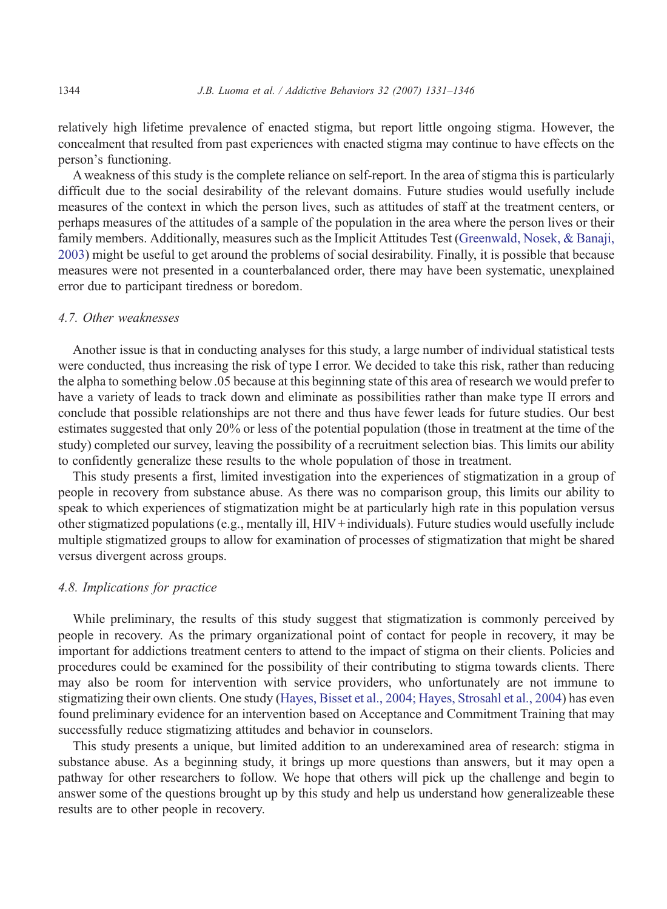relatively high lifetime prevalence of enacted stigma, but report little ongoing stigma. However, the concealment that resulted from past experiences with enacted stigma may continue to have effects on the person's functioning.

A weakness of this study is the complete reliance on self-report. In the area of stigma this is particularly difficult due to the social desirability of the relevant domains. Future studies would usefully include measures of the context in which the person lives, such as attitudes of staff at the treatment centers, or perhaps measures of the attitudes of a sample of the population in the area where the person lives or their family members. Additionally, measures such as the Implicit Attitudes Test ([Greenwald, Nosek, & Banaji,](#page-14-0) [2003](#page-14-0)) might be useful to get around the problems of social desirability. Finally, it is possible that because measures were not presented in a counterbalanced order, there may have been systematic, unexplained error due to participant tiredness or boredom.

# 4.7. Other weaknesses

Another issue is that in conducting analyses for this study, a large number of individual statistical tests were conducted, thus increasing the risk of type I error. We decided to take this risk, rather than reducing the alpha to something below .05 because at this beginning state of this area of research we would prefer to have a variety of leads to track down and eliminate as possibilities rather than make type II errors and conclude that possible relationships are not there and thus have fewer leads for future studies. Our best estimates suggested that only 20% or less of the potential population (those in treatment at the time of the study) completed our survey, leaving the possibility of a recruitment selection bias. This limits our ability to confidently generalize these results to the whole population of those in treatment.

This study presents a first, limited investigation into the experiences of stigmatization in a group of people in recovery from substance abuse. As there was no comparison group, this limits our ability to speak to which experiences of stigmatization might be at particularly high rate in this population versus other stigmatized populations (e.g., mentally ill, HIV +individuals). Future studies would usefully include multiple stigmatized groups to allow for examination of processes of stigmatization that might be shared versus divergent across groups.

#### 4.8. Implications for practice

While preliminary, the results of this study suggest that stigmatization is commonly perceived by people in recovery. As the primary organizational point of contact for people in recovery, it may be important for addictions treatment centers to attend to the impact of stigma on their clients. Policies and procedures could be examined for the possibility of their contributing to stigma towards clients. There may also be room for intervention with service providers, who unfortunately are not immune to stigmatizing their own clients. One study ([Hayes, Bisset et al., 2004; Hayes, Strosahl et al., 2004\)](#page-14-0) has even found preliminary evidence for an intervention based on Acceptance and Commitment Training that may successfully reduce stigmatizing attitudes and behavior in counselors.

This study presents a unique, but limited addition to an underexamined area of research: stigma in substance abuse. As a beginning study, it brings up more questions than answers, but it may open a pathway for other researchers to follow. We hope that others will pick up the challenge and begin to answer some of the questions brought up by this study and help us understand how generalizeable these results are to other people in recovery.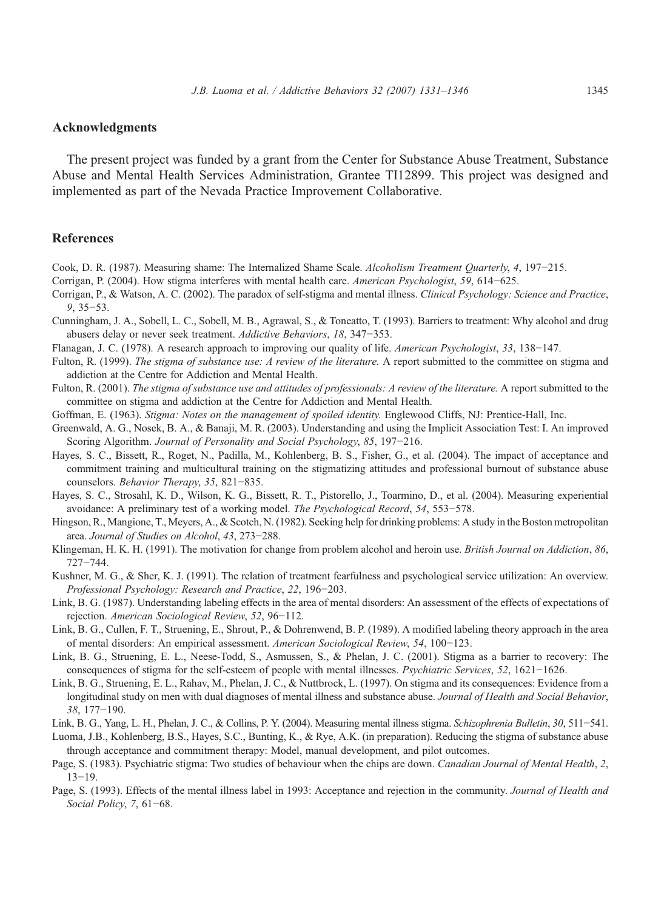## <span id="page-14-0"></span>Acknowledgments

The present project was funded by a grant from the Center for Substance Abuse Treatment, Substance Abuse and Mental Health Services Administration, Grantee TI12899. This project was designed and implemented as part of the Nevada Practice Improvement Collaborative.

#### References

Cook, D. R. (1987). Measuring shame: The Internalized Shame Scale. Alcoholism Treatment Quarterly, 4, 197−215.

- Corrigan, P. (2004). How stigma interferes with mental health care. American Psychologist, 59, 614−625.
- Corrigan, P., & Watson, A. C. (2002). The paradox of self-stigma and mental illness. Clinical Psychology: Science and Practice, 9, 35−53.
- Cunningham, J. A., Sobell, L. C., Sobell, M. B., Agrawal, S., & Toneatto, T. (1993). Barriers to treatment: Why alcohol and drug abusers delay or never seek treatment. Addictive Behaviors, 18, 347−353.
- Flanagan, J. C. (1978). A research approach to improving our quality of life. American Psychologist, 33, 138−147.
- Fulton, R. (1999). The stigma of substance use: A review of the literature. A report submitted to the committee on stigma and addiction at the Centre for Addiction and Mental Health.
- Fulton, R. (2001). The stigma of substance use and attitudes of professionals: A review of the literature. A report submitted to the committee on stigma and addiction at the Centre for Addiction and Mental Health.
- Goffman, E. (1963). Stigma: Notes on the management of spoiled identity. Englewood Cliffs, NJ: Prentice-Hall, Inc.
- Greenwald, A. G., Nosek, B. A., & Banaji, M. R. (2003). Understanding and using the Implicit Association Test: I. An improved Scoring Algorithm. Journal of Personality and Social Psychology, 85, 197−216.
- Hayes, S. C., Bissett, R., Roget, N., Padilla, M., Kohlenberg, B. S., Fisher, G., et al. (2004). The impact of acceptance and commitment training and multicultural training on the stigmatizing attitudes and professional burnout of substance abuse counselors. Behavior Therapy, 35, 821−835.
- Hayes, S. C., Strosahl, K. D., Wilson, K. G., Bissett, R. T., Pistorello, J., Toarmino, D., et al. (2004). Measuring experiential avoidance: A preliminary test of a working model. The Psychological Record, 54, 553−578.
- Hingson, R., Mangione, T., Meyers, A., & Scotch, N. (1982). Seeking help for drinking problems: A study in the Boston metropolitan area. Journal of Studies on Alcohol, 43, 273−288.
- Klingeman, H. K. H. (1991). The motivation for change from problem alcohol and heroin use. British Journal on Addiction, 86, 727−744.
- Kushner, M. G., & Sher, K. J. (1991). The relation of treatment fearfulness and psychological service utilization: An overview. Professional Psychology: Research and Practice, 22, 196−203.
- Link, B. G. (1987). Understanding labeling effects in the area of mental disorders: An assessment of the effects of expectations of rejection. American Sociological Review, 52, 96−112.
- Link, B. G., Cullen, F. T., Struening, E., Shrout, P., & Dohrenwend, B. P. (1989). A modified labeling theory approach in the area of mental disorders: An empirical assessment. American Sociological Review, 54, 100−123.
- Link, B. G., Struening, E. L., Neese-Todd, S., Asmussen, S., & Phelan, J. C. (2001). Stigma as a barrier to recovery: The consequences of stigma for the self-esteem of people with mental illnesses. Psychiatric Services, 52, 1621−1626.
- Link, B. G., Struening, E. L., Rahav, M., Phelan, J. C., & Nuttbrock, L. (1997). On stigma and its consequences: Evidence from a longitudinal study on men with dual diagnoses of mental illness and substance abuse. Journal of Health and Social Behavior, 38, 177−190.
- Link, B. G., Yang, L. H., Phelan, J. C., & Collins, P. Y. (2004). Measuring mental illness stigma. Schizophrenia Bulletin, 30, 511−541.
- Luoma, J.B., Kohlenberg, B.S., Hayes, S.C., Bunting, K., & Rye, A.K. (in preparation). Reducing the stigma of substance abuse through acceptance and commitment therapy: Model, manual development, and pilot outcomes.
- Page, S. (1983). Psychiatric stigma: Two studies of behaviour when the chips are down. Canadian Journal of Mental Health, 2, 13−19.
- Page, S. (1993). Effects of the mental illness label in 1993: Acceptance and rejection in the community. Journal of Health and Social Policy, 7, 61−68.